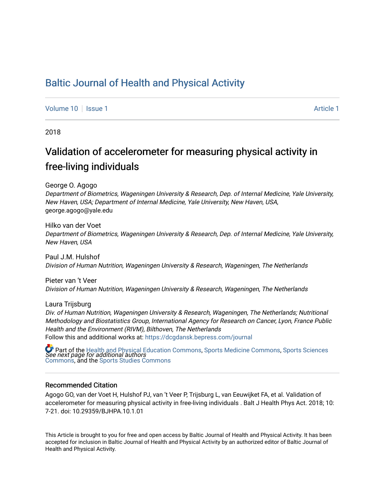## [Baltic Journal of Health and Physical Activity](https://dcgdansk.bepress.com/journal)

[Volume 10](https://dcgdansk.bepress.com/journal/vol10) | [Issue 1](https://dcgdansk.bepress.com/journal/vol10/iss1) Article 1

2018

# Validation of accelerometer for measuring physical activity in free-living individuals

George O. Agogo

Department of Biometrics, Wageningen University & Research, Dep. of Internal Medicine, Yale University, New Haven, USA; Department of Internal Medicine, Yale University, New Haven, USA, george.agogo@yale.edu

Hilko van der Voet Department of Biometrics, Wageningen University & Research, Dep. of Internal Medicine, Yale University, New Haven, USA

Paul J.M. Hulshof Division of Human Nutrition, Wageningen University & Research, Wageningen, The Netherlands

Pieter van 't Veer Division of Human Nutrition, Wageningen University & Research, Wageningen, The Netherlands

Laura Trijsburg Div. of Human Nutrition, Wageningen University & Research, Wageningen, The Netherlands; Nutritional Methodology and Biostatistics Group, International Agency for Research on Cancer, Lyon, France Public Health and the Environment (RIVM), Bilthoven, The Netherlands Follow this and additional works at: [https://dcgdansk.bepress.com/journal](https://dcgdansk.bepress.com/journal?utm_source=dcgdansk.bepress.com%2Fjournal%2Fvol10%2Fiss1%2F1&utm_medium=PDF&utm_campaign=PDFCoverPages)

 $\bullet$  Part of the [Health and Physical Education Commons](http://network.bepress.com/hgg/discipline/1327?utm_source=dcgdansk.bepress.com%2Fjournal%2Fvol10%2Fiss1%2F1&utm_medium=PDF&utm_campaign=PDFCoverPages), [Sports Medicine Commons,](http://network.bepress.com/hgg/discipline/1331?utm_source=dcgdansk.bepress.com%2Fjournal%2Fvol10%2Fiss1%2F1&utm_medium=PDF&utm_campaign=PDFCoverPages) [Sports Sciences](http://network.bepress.com/hgg/discipline/759?utm_source=dcgdansk.bepress.com%2Fjournal%2Fvol10%2Fiss1%2F1&utm_medium=PDF&utm_campaign=PDFCoverPages)<br>*See next page for additional authors* [Commons](http://network.bepress.com/hgg/discipline/759?utm_source=dcgdansk.bepress.com%2Fjournal%2Fvol10%2Fiss1%2F1&utm_medium=PDF&utm_campaign=PDFCoverPages), and the [Sports Studies Commons](http://network.bepress.com/hgg/discipline/1198?utm_source=dcgdansk.bepress.com%2Fjournal%2Fvol10%2Fiss1%2F1&utm_medium=PDF&utm_campaign=PDFCoverPages) 

#### Recommended Citation

Agogo GO, van der Voet H, Hulshof PJ, van 't Veer P, Trijsburg L, van Eeuwijket FA, et al. Validation of accelerometer for measuring physical activity in free-living individuals . Balt J Health Phys Act. 2018; 10: 7-21. doi: 10.29359/BJHPA.10.1.01

This Article is brought to you for free and open access by Baltic Journal of Health and Physical Activity. It has been accepted for inclusion in Baltic Journal of Health and Physical Activity by an authorized editor of Baltic Journal of Health and Physical Activity.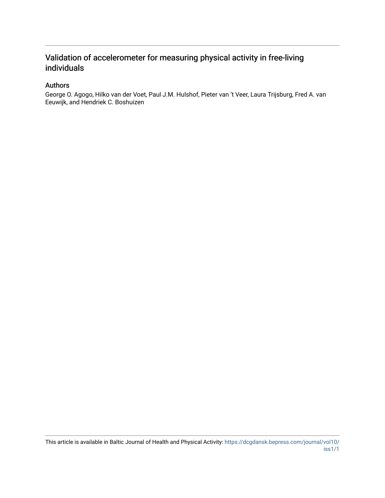### Validation of accelerometer for measuring physical activity in free-living individuals

#### Authors

George O. Agogo, Hilko van der Voet, Paul J.M. Hulshof, Pieter van 't Veer, Laura Trijsburg, Fred A. van Eeuwijk, and Hendriek C. Boshuizen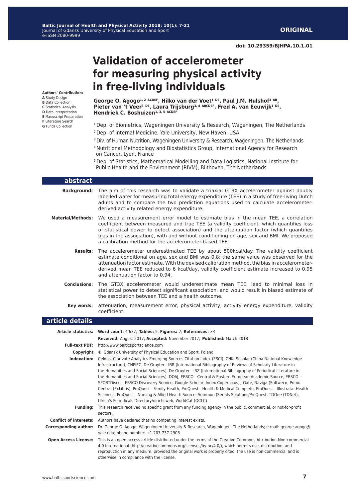# **Validation of accelerometer for measuring physical activity in free-living individuals**

George O. Agogo<sup>1, 2 ACDEF</sup>, Hilko van der Voet<sup>1 DE</sup>, Paul J.M. Hulshof<sup>3 AB</sup>, **Pieter van 't Veer3 DE, Laura Trijsburg3, 4 ABCDEF, Fred A. van Eeuwijk1 DE, Hendriek C. Boshuizen**<sup>1, 3, 5 ACDEF</sup>

- 1 Dep. of Biometrics, Wageningen University & Research, Wageningen, The Netherlands 2 Dep. of Internal Medicine, Yale University, New Haven, USA
- <sup>3</sup> Div. of Human Nutrition, Wageningen University & Research, Wageningen, The Netherlands
- 4 Nutritional Methodology and Biostatistics Group, International Agency for Research on Cancer, Lyon, France
- 5 Dep. of Statistics, Mathematical Modelling and Data Logistics, National Institute for Public Health and the Environment (RIVM), Bilthoven, The Netherlands

#### **abstract**

**Authors' Contribution: A** Study Design **B** Data Collection **C** Statistical Analysis **D** Data Interpretation **E** Manuscript Preparation **F** Literature Search **G** Funds Collection

- **Background:** The aim of this research was to validate a triaxial GT3X accelerometer against doubly labelled water for measuring total energy expenditure (TEE) in a study of free-living Dutch adults and to compare the two prediction equations used to calculate accelerometerderived activity related energy expenditure.
- **Material/Methods:** We used a measurement error model to estimate bias in the mean TEE, a correlation coefficient between measured and true TEE (a validity coefficient, which quantifies loss of statistical power to detect association) and the attenuation factor (which quantifies bias in the association), with and without conditioning on age, sex and BMI. We proposed a calibration method for the accelerometer-based TEE.
	- **Results:** The accelerometer underestimated TEE by about 500kcal/day. The validity coefficient estimate conditional on age, sex and BMI was 0.8; the same value was observed for the attenuation factor estimate. With the devised calibration method, the bias in accelerometerderived mean TEE reduced to 6 kcal/day, validity coefficient estimate increased to 0.95 and attenuation factor to 0.94.
	- **Conclusions:** The GT3X accelerometer would underestimate mean TEE, lead to minimal loss in statistical power to detect significant association, and would result in biased estimate of the association between TEE and a health outcome.
		- **Key words:** attenuation, measurement error, physical activity, activity energy expenditure, validity coefficient.

#### **article details**

|                              | Article statistics: Word count: 4,637; Tables: 5; Figures: 2; References: 33                                                                                                                                                                                                                                                                                                                                                                                                                                                                                                                                                                                                                                                                                                                                                                                  |
|------------------------------|---------------------------------------------------------------------------------------------------------------------------------------------------------------------------------------------------------------------------------------------------------------------------------------------------------------------------------------------------------------------------------------------------------------------------------------------------------------------------------------------------------------------------------------------------------------------------------------------------------------------------------------------------------------------------------------------------------------------------------------------------------------------------------------------------------------------------------------------------------------|
|                              | Received: August 2017; Accepted: November 2017; Published: March 2018                                                                                                                                                                                                                                                                                                                                                                                                                                                                                                                                                                                                                                                                                                                                                                                         |
| <b>Full-text PDF:</b>        | http://www.balticsportscience.com                                                                                                                                                                                                                                                                                                                                                                                                                                                                                                                                                                                                                                                                                                                                                                                                                             |
| Copyright                    | © Gdansk University of Physical Education and Sport, Poland                                                                                                                                                                                                                                                                                                                                                                                                                                                                                                                                                                                                                                                                                                                                                                                                   |
| Indexation:                  | Celdes, Clarivate Analytics Emerging Sources Citation Index (ESCI), CNKI Scholar (China National Knowledge<br>Infrastructure), CNPIEC, De Gruyter - IBR (International Bibliography of Reviews of Scholarly Literature in<br>the Humanities and Social Sciences), De Gruyter - IBZ (International Bibliography of Periodical Literature in<br>the Humanities and Social Sciences), DOAJ, EBSCO - Central & Eastern European Academic Source, EBSCO -<br>SPORTDiscus, EBSCO Discovery Service, Google Scholar, Index Copernicus, J-Gate, Naviga (Softweco, Primo<br>Central (ExLibris), ProQuest - Family Health, ProQuest - Health & Medical Complete, ProQuest - Illustrata: Health<br>Sciences, ProQuest - Nursing & Allied Health Source, Summon (Serials Solutions/ProQuest, TDOne (TDNet),<br>Ulrich's Periodicals Directory/ulrichsweb, WorldCat (OCLC) |
| <b>Funding:</b>              | This research received no specific grant from any funding agency in the public, commercial, or not-for-profit<br>sectors.                                                                                                                                                                                                                                                                                                                                                                                                                                                                                                                                                                                                                                                                                                                                     |
|                              | <b>Conflict of interests:</b> Authors have declared that no competing interest exists.                                                                                                                                                                                                                                                                                                                                                                                                                                                                                                                                                                                                                                                                                                                                                                        |
| <b>Corresponding author:</b> | Dr. George O. Agogo; Wageningen University & Research, Wageningen, The Netherlands; e-mail: george.agogo@<br>yale.edu; phone number: +1 203-737-2908                                                                                                                                                                                                                                                                                                                                                                                                                                                                                                                                                                                                                                                                                                          |
| <b>Open Access License:</b>  | This is an open access article distributed under the terms of the Creative Commons Attribution-Non-commercial<br>4.0 International (http://creativecommons.org/licenses/by-nc/4.0/), which permits use, distribution, and<br>reproduction in any medium, provided the original work is properly cited, the use is non-commercial and is<br>otherwise in compliance with the license.                                                                                                                                                                                                                                                                                                                                                                                                                                                                          |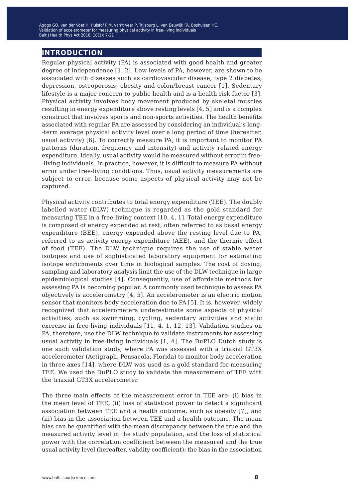### **introduction**

Regular physical activity (PA) is associated with good health and greater degree of independence [1, 2]. Low levels of PA, however, are shown to be associated with diseases such as cardiovascular disease, type 2 diabetes, depression, osteoporosis, obesity and colon/breast cancer [1]. Sedentary lifestyle is a major concern to public health and is a health risk factor [3]. Physical activity involves body movement produced by skeletal muscles resulting in energy expenditure above resting levels [4, 5] and is a complex construct that involves sports and non-sports activities. The health benefits associated with regular PA are assessed by considering an individual's long- -term average physical activity level over a long period of time (hereafter, usual activity) [6]. To correctly measure PA, it is important to monitor PA patterns (duration, frequency and intensity) and activity related energy expenditure. Ideally, usual activity would be measured without error in free- -living individuals. In practice, however, it is difficult to measure PA without error under free-living conditions. Thus, usual activity measurements are subject to error, because some aspects of physical activity may not be captured.

Physical activity contributes to total energy expenditure (TEE). The doubly labelled water (DLW) technique is regarded as the gold standard for measuring TEE in a free-living context [10, 4, 1]. Total energy expenditure is composed of energy expended at rest, often referred to as basal energy expenditure (BEE), energy expended above the resting level due to PA, referred to as activity energy expenditure (AEE), and the thermic effect of food (TEF). The DLW technique requires the use of stable water isotopes and use of sophisticated laboratory equipment for estimating isotope enrichments over time in biological samples. The cost of dosing, sampling and laboratory analysis limit the use of the DLW technique in large epidemiological studies [4]. Consequently, use of affordable methods for assessing PA is becoming popular. A commonly used technique to assess PA objectively is accelerometry [4, 5]. An accelerometer is an electric motion sensor that monitors body acceleration due to PA [5]. It is, however, widely recognized that accelerometers underestimate some aspects of physical activities, such as swimming, cycling, sedentary activities and static exercise in free-living individuals [11, 4, 1, 12, 13]. Validation studies on PA, therefore, use the DLW technique to validate instruments for assessing usual activity in free-living individuals [1, 4]. The DuPLO Dutch study is one such validation study, where PA was assessed with a triaxial GT3X accelerometer (Actigraph, Pensacola, Florida) to monitor body acceleration in three axes [14], where DLW was used as a gold standard for measuring TEE. We used the DuPLO study to validate the measurement of TEE with the triaxial GT3X accelerometer.

The three main effects of the measurement error in TEE are: (i) bias in the mean level of TEE, (ii) loss of statistical power to detect a significant association between TEE and a health outcome, such as obesity [7], and (iii) bias in the association between TEE and a health outcome. The mean bias can be quantified with the mean discrepancy between the true and the measured activity level in the study population, and the loss of statistical power with the correlation coefficient between the measured and the true usual activity level (hereafter, validity coefficient); the bias in the association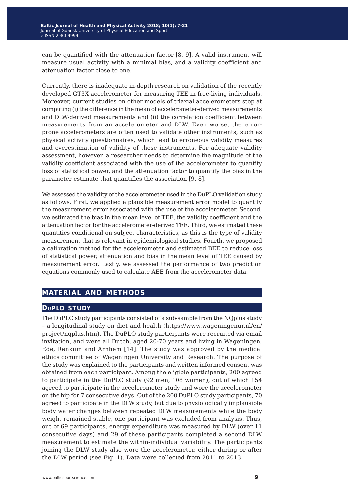. measure usual activity with a minimal bias, and a validity coefficient and can be quantified with the attenuation factor [8, 9]. A valid instrument will attenuation factor close to one.

Currently, there is inadequate in-depth research on validation of the recently developed GT3X accelerometer for measuring TEE in free-living individuals. Moreover, current studies on other models of triaxial accelerometers stop at computing (i) the difference in the mean of accelerometer-derived measurements and DLW-derived measurements and (ii) the correlation coefficient between measurements from an accelerometer and DLW. Even worse, the errorprone accelerometers are often used to validate other instruments, such as physical activity questionnaires, which lead to erroneous validity measures and overestimation of validity of these instruments. For adequate validity assessment, however, a researcher needs to determine the magnitude of the validity coefficient associated with the use of the accelerometer to quantify loss of statistical power, and the attenuation factor to quantify the bias in the parameter estimate that quantifies the association [9, 8].

We assessed the validity of the accelerometer used in the DuPLO validation study as follows. First, we applied a plausible measurement error model to quantify the measurement error associated with the use of the accelerometer. Second, we estimated the bias in the mean level of TEE, the validity coefficient and the attenuation factor for the accelerometer-derived TEE. Third, we estimated these quantities conditional on subject characteristics, as this is the type of validity measurement that is relevant in epidemiological studies. Fourth, we proposed a calibration method for the accelerometer and estimated BEE to reduce loss of statistical power, attenuation and bias in the mean level of TEE caused by measurement error. Lastly, we assessed the performance of two prediction equations commonly used to calculate AEE from the accelerometer data.

#### **material and methods**

#### **duplo study**

The DuPLO study participants consisted of a sub-sample from the NQplus study – a longitudinal study on diet and health (https://www.wageningenur.nl/en/ project/nqplus.htm). The DuPLO study participants were recruited via email invitation, and were all Dutch, aged 20-70 years and living in Wageningen, Ede, Renkum and Arnhem [14]. The study was approved by the medical ethics committee of Wageningen University and Research. The purpose of the study was explained to the participants and written informed consent was obtained from each participant. Among the eligible participants, 200 agreed to participate in the DuPLO study (92 men, 108 women), out of which 154 agreed to participate in the accelerometer study and wore the accelerometer on the hip for 7 consecutive days. Out of the 200 DuPLO study participants, 70 agreed to participate in the DLW study, but due to physiologically implausible body water changes between repeated DLW measurements while the body weight remained stable, one participant was excluded from analysis. Thus, out of 69 participants, energy expenditure was measured by DLW (over 11 consecutive days) and 29 of these participants completed a second DLW measurement to estimate the within-individual variability. The participants joining the DLW study also wore the accelerometer, either during or after the DLW period (see Fig. 1). Data were collected from 2011 to 2013.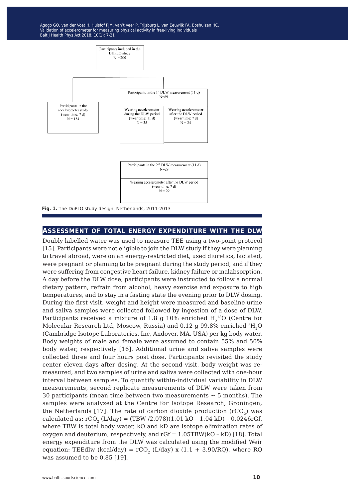Agogo GO, van der Voet H, Hulsfof PJM, van't Veer P, Trijsburg L, van Eeuwijk FA, Boshulzen HC. Validation of accelerometer for measuring physical activity in free-living individuals Balt J Health Phys Act 2018; 10(1): 7-21



**Fig. 1.** The DuPLO study design, Netherlands, 2011-2013

#### **assessment of total energy expenditure with the dlw**

Doubly labelled water was used to measure TEE using a two-point protocol [15]. Participants were not eligible to join the DLW study if they were planning to travel abroad, were on an energy-restricted diet, used diuretics, lactated, were pregnant or planning to be pregnant during the study period, and if they were suffering from congestive heart failure, kidney failure or malabsorption. A day before the DLW dose, participants were instructed to follow a normal dietary pattern, refrain from alcohol, heavy exercise and exposure to high temperatures, and to stay in a fasting state the evening prior to DLW dosing. During the first visit, weight and height were measured and baseline urine and saliva samples were collected followed by ingestion of a dose of DLW. Participants received a mixture of 1.8 g 10% enriched  $\rm H_2^{18}O$  (Centre for Molecular Research Ltd, Moscow, Russia) and 0.12 g 99.8% enriched <sup>2</sup>H<sub>2</sub>O (Cambridge Isotope Laboratories, Inc, Andover, MA, USA) per kg body water. Body weights of male and female were assumed to contain 55% and 50% body water, respectively [16]. Additional urine and saliva samples were collected three and four hours post dose. Participants revisited the study center eleven days after dosing. At the second visit, body weight was remeasured, and two samples of urine and saliva were collected with one-hour interval between samples. To quantify within-individual variability in DLW measurements, second replicate measurements of DLW were taken from 30 participants (mean time between two measurements  $\sim$  5 months). The samples were analyzed at the Centre for Isotope Research, Groningen, the Netherlands [17]. The rate of carbon dioxide production  $(rCO<sub>2</sub>)$  was calculated as:  $rCO$ <sub>2</sub> (L/day) = (TBW /2.078)(1.01 kO - 1.04 kD) - 0.0246rGf, where TBW is total body water, kO and kD are isotope elimination rates of oxygen and deuterium, respectively, and  $rGf = 1.05TBW(kO - kD)$  [18]. Total energy expenditure from the DLW was calculated using the modified Weir equation: TEEdlw (kcal/day) =  $rCO<sub>2</sub>$  (L/day) x (1.1 + 3.90/RQ), where RQ was assumed to be 0.85 [19].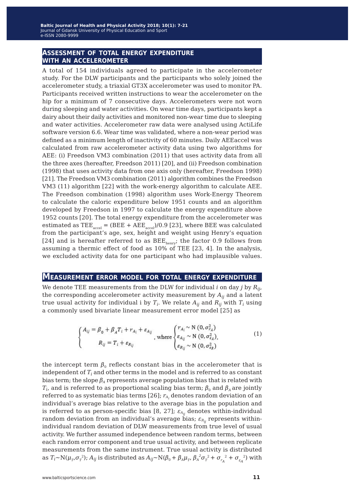# **assessment of total energy expenditure with an accelerometer**

A total of 154 individuals agreed to participate in the accelerometer study. For the DLW participants and the participants who solely joined the accelerometer study, a triaxial GT3X accelerometer was used to monitor PA. Participants received written instructions to wear the accelerometer on the hip for a minimum of 7 consecutive days. Accelerometers were not worn during sleeping and water activities. On wear time days, participants kept a dairy about their daily activities and monitored non-wear time due to sleeping and water activities. Accelerometer raw data were analysed using ActiLife software version 6.6. Wear time was validated, where a non-wear period was defined as a minimum length of inactivity of 60 minutes. Daily AEEaccel was calculated from raw accelerometer activity data using two algorithms for AEE: (i) Freedson VM3 combination (2011) that uses activity data from all the three axes (hereafter, Freedson 2011) [20], and (ii) Freedson combination (1998) that uses activity data from one axis only (hereafter, Freedson 1998) [21]. The Freedson VM3 combination (2011) algorithm combines the Freedson VM3 (11) algorithm [22] with the work-energy algorithm to calculate AEE. The Freedson combination (1998) algorithm uses Work-Energy Theorem to calculate the caloric expenditure below 1951 counts and an algorithm developed by Freedson in 1997 to calculate the energy expenditure above 1952 counts [20]. The total energy expenditure from the accelerometer was estimated as TEE<sub>accel</sub> = (BEE + AEE<sub>accel</sub>)/0.9 [23], where BEE was calculated from the participant's age, sex, height and weight using Henry's equation [24] and is hereafter referred to as  $BEE_{\text{henry}}$ ; the factor 0.9 follows from assuming a thermic effect of food as 10% of TEE [23, 4]. In the analysis, we excluded activity data for one participant who had implausible values.

#### **Measurement error model for total energy expenditure**

We denote TEE measurements from the DLW for individual *i* on day *j* by *Rij*, the corresponding accelerometer activity measurement by *Aij* and a latent true usual activity for individual i by  $T_i$ . We relate  $A_{ij}$  and  $R_{ij}$  with  $T_i$  using a commonly used bivariate linear measurement error model [25] as

$$
\begin{cases}\nA_{ij} = \beta_0 + \beta_A T_i + r_{A_i} + \varepsilon_{A_{ij}} \\
R_{ij} = T_i + \varepsilon_{R_{ij}}\n\end{cases}, \text{ where }\n\begin{cases}\nr_{A_i} \sim N(0, \sigma_{r_A}^2) \\
\varepsilon_{A_{ij}} \sim N(0, \sigma_{\varepsilon_A}^2), \\
\varepsilon_{R_{ij}} \sim N(0, \sigma_{\varepsilon_B}^2)\n\end{cases}
$$
\n(1)

the intercept term  $\beta_0$  reflects constant bias in the accelerometer that is independent of *Ti* and other terms in the model and is referred to as constant bias term; the slope *βA* represents average population bias that is related with *T<sub>i</sub>*, and is referred to as proportional scaling bias term;  $β_0$  and  $β_A$  are jointly referred to as systematic bias terms [26]; *rAi* denotes random deviation of an individual's average bias relative to the average bias in the population and is referred to as person-specific bias [8, 27];  $\varepsilon_{A_{ij}}$  denotes within-individual random deviation from an individual's average bias;  $\varepsilon_{R_{ij}}$  represents withinindividual random deviation of DLW measurements from true level of usual activity. We further assumed independence between random terms, between each random error component and true usual activity, and between replicate measurements from the same instrument. True usual activity is distributed as  $T_i \sim N(\mu_T, \sigma_T^2)$ ;  $A_{ij}$  is distributed as  $A_{ij} \sim N(\beta_0 + \beta_A \mu_T, \beta_A^2 \sigma_T^2 + \sigma_{r_A}^2 + \sigma_{\epsilon_A}^2)$  with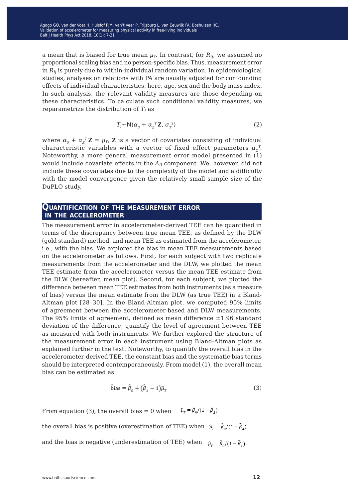a mean that is biased for true mean  $\mu_T$ . In contrast, for  $R_{ij}$ , we assumed no proportional scaling bias and no person-specific bias. Thus, measurement error in *Rij* is purely due to within-individual random variation. In epidemiological studies, analyses on relations with PA are usually adjusted for confounding effects of individual characteristics, here, age, sex and the body mass index. In such analysis, the relevant validity measures are those depending on these characteristics. To calculate such conditional validity measures, we reparametrize the distribution of  $T_i$  as

$$
T_i \sim N(\alpha_0 + \alpha_z^T \mathbf{Z}, \sigma_r^2)
$$
 (2)

where  $\alpha_0 + \alpha_{\overline{Z}}^T \mathbf{Z} = \mu_T$ , **Z** is a vector of covariates consisting of individual characteristic variables with a vector of fixed effect parameters  $\alpha_z^T$ . Noteworthy, a more general measurement error model presented in (1) would include covariate effects in the *Aij* component. We, however, did not include these covariates due to the complexity of the model and a difficulty with the model convergence given the relatively small sample size of the DuPLO study.

# **Quantification of the measurement error in the accelerometer**

The measurement error in accelerometer-derived TEE can be quantified in terms of the discrepancy between true mean TEE, as defined by the DLW (gold standard) method, and mean TEE as estimated from the accelerometer, i.e., with the bias. We explored the bias in mean TEE measurements based on the accelerometer as follows. First, for each subject with two replicate measurements from the accelerometer and the DLW, we plotted the mean TEE estimate from the accelerometer versus the mean TEE estimate from the DLW (hereafter, mean plot). Second, for each subject, we plotted the difference between mean TEE estimates from both instruments (as a measure of bias) versus the mean estimate from the DLW (as true TEE) in a Bland-Altman plot [28–30]. In the Bland-Altman plot, we computed 95% limits of agreement between the accelerometer-based and DLW measurements. The 95% limits of agreement, defined as mean difference ±1.96 standard deviation of the difference, quantify the level of agreement between TEE as measured with both instruments. We further explored the structure of the measurement error in each instrument using Bland-Altman plots as explained further in the text. Noteworthy, to quantify the overall bias in the accelerometer-derived TEE, the constant bias and the systematic bias terms should be interpreted contemporaneously. From model (1), the overall mean bias can be estimated as

$$
\widehat{\text{bias}} = \widehat{\beta}_0 + (\widehat{\beta}_A - 1)\widehat{\mu}_T \tag{3}
$$

From equation (3), the overall bias = 0 when  $\hat{\mu}_T = \hat{\beta}_0/(1-\hat{\beta}_A)$ 

the overall bias is positive (overestimation of TEE) when  $\hat{\mu}_r = \hat{\beta}_0/(1-\hat{\beta}_4)$ 

and the bias is negative (underestimation of TEE) when  $\hat{\mu}_r = \hat{\beta}_0/(1-\hat{\beta}_1)$ 

www.balticsportscience.com **12**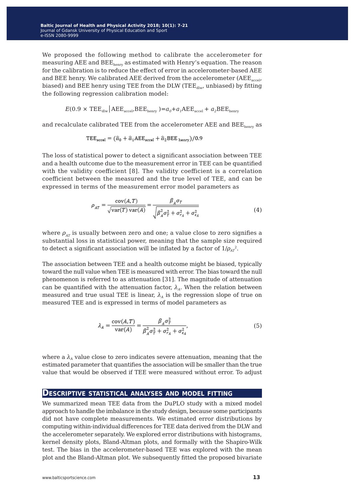We proposed the following method to calibrate the accelerometer for measuring AEE and BEE<sub>henry</sub> as estimated with Henry's equation. The reason for the calibration is to reduce the effect of error in accelerometer-based AEE and BEE henry. We calibrated AEE derived from the accelerometer ( $AEE_{\text{accel}}$ ) biased) and BEE henry using TEE from the DLW (TEE $_{\text{dlw}}$ , unbiased) by fitting the following regression calibration model:

$$
E(0.9 \times \text{TEE}_{\text{dlw}} | \text{AEE}_{\text{accel}} \text{BEE}_{\text{henry}} ) = a_0 + a_1 \text{AEE}_{\text{accel}} + a_2 \text{BEE}_{\text{henry}}
$$

and recalculate calibrated TEE from the accelerometer AEE and  $BEE_{\text{henv}}$  as

$$
TEE_{\text{accel}} = (\hat{a}_0 + \hat{a}_1 A EE_{\text{accel}} + \hat{a}_2 B EE_{\text{ henry}})/0.9
$$

The loss of statistical power to detect a significant association between TEE and a health outcome due to the measurement error in TEE can be quantified with the validity coefficient [8]. The validity coefficient is a correlation coefficient between the measured and the true level of TEE, and can be expressed in terms of the measurement error model parameters as

$$
\rho_{AT} = \frac{\text{cov}(A, T)}{\sqrt{\text{var}(T)\text{var}(A)}} = \frac{\beta_A \sigma_T}{\sqrt{\beta_A^2 \sigma_T^2 + \sigma_{r_A}^2 + \sigma_{s_A}^2}}
$$
(4)

where  $\rho_{AT}$  is usually between zero and one; a value close to zero signifies a substantial loss in statistical power, meaning that the sample size required to detect a significant association will be inflated by a factor of  $1/\rho_{AT}^2$ .

The association between TEE and a health outcome might be biased, typically toward the null value when TEE is measured with error. The bias toward the null phenomenon is referred to as attenuation [31]. The magnitude of attenuation can be quantified with the attenuation factor,  $\lambda_A$ . When the relation between measured and true usual TEE is linear,  $\lambda_A$  is the regression slope of true on measured TEE and is expressed in terms of model parameters as

$$
\lambda_A = \frac{\text{cov}(A, T)}{\text{var}(A)} = \frac{\beta_A \sigma_T^2}{\beta_A^2 \sigma_T^2 + \sigma_{r_A}^2 + \sigma_{\epsilon_A}^2},\tag{5}
$$

where a  $\lambda_A$  value close to zero indicates severe attenuation, meaning that the estimated parameter that quantifies the association will be smaller than the true value that would be observed if TEE were measured without error. To adjust

#### **Descriptive statistical analyses and model fitting**

We summarized mean TEE data from the DuPLO study with a mixed model approach to handle the imbalance in the study design, because some participants did not have complete measurements. We estimated error distributions by computing within-individual differences for TEE data derived from the DLW and the accelerometer separately. We explored error distributions with histograms, kernel density plots, Bland-Altman plots, and formally with the Shapiro-Wilk test. The bias in the accelerometer-based TEE was explored with the mean plot and the Bland-Altman plot. We subsequently fitted the proposed bivariate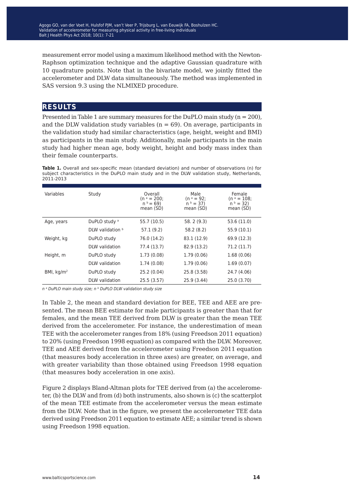measurement error model using a maximum likelihood method with the Newton-Raphson optimization technique and the adaptive Gaussian quadrature with 10 quadrature points. Note that in the bivariate model, we jointly fitted the accelerometer and DLW data simultaneously. The method was implemented in SAS version 9.3 using the NLMIXED procedure.

#### **results**

Presented in Table 1 are summary measures for the DuPLO main study (n = 200), and the DLW validation study variables ( $n = 69$ ). On average, participants in the validation study had similar characteristics (age, height, weight and BMI) as participants in the main study. Additionally, male participants in the main study had higher mean age, body weight, height and body mass index than their female counterparts.

**Table 1.** Overall and sex-specific mean (standard deviation) and number of observations (n) for subject characteristics in the DuPLO main study and in the DLW validation study, Netherlands, 2011-2013

| Variables    | Study                    | Overall<br>$(n^a = 200)$<br>$n^b = 69$<br>mean (SD) | Male<br>$(n^a = 92)$<br>$n^b = 37$<br>mean (SD) | Female<br>$(n^a = 108)$<br>$n^b = 32$<br>mean (SD) |
|--------------|--------------------------|-----------------------------------------------------|-------------------------------------------------|----------------------------------------------------|
| Age, years   | DuPLO study <sup>a</sup> | 55.7 (10.5)                                         | 58.2 (9.3)                                      | 53.6 (11.0)                                        |
|              | DLW validation b         | 57.1 (9.2)                                          | 58.2 (8.2)                                      | 55.9 (10.1)                                        |
| Weight, kg   | DuPLO study              | 76.0 (14.2)                                         | 83.1 (12.9)                                     | 69.9 (12.3)                                        |
|              | DLW validation           | 77.4 (13.7)                                         | 82.9 (13.2)                                     | 71.2 (11.7)                                        |
| Height, m    | DuPLO study              | 1.73(0.08)                                          | 1.79(0.06)                                      | 1.68(0.06)                                         |
|              | DLW validation           | 1.74(0.08)                                          | 1.79(0.06)                                      | 1.69(0.07)                                         |
| BMI, $kg/m2$ | DuPLO study              | 25.2 (0.04)                                         | 25.8 (3.58)                                     | 24.7 (4.06)                                        |
|              | DLW validation           | 25.5 (3.57)                                         | 25.9 (3.44)                                     | 25.0 (3.70)                                        |

*n a DuPLO main study size; n b DuPLO DLW validation study size*

In Table 2, the mean and standard deviation for BEE, TEE and AEE are presented. The mean BEE estimate for male participants is greater than that for females, and the mean TEE derived from DLW is greater than the mean TEE derived from the accelerometer. For instance, the underestimation of mean TEE with the accelerometer ranges from 18% (using Freedson 2011 equation) to 20% (using Freedson 1998 equation) as compared with the DLW. Moreover, TEE and AEE derived from the accelerometer using Freedson 2011 equation (that measures body acceleration in three axes) are greater, on average, and with greater variability than those obtained using Freedson 1998 equation (that measures body acceleration in one axis).

Figure 2 displays Bland-Altman plots for TEE derived from (a) the accelerometer, (b) the DLW and from (d) both instruments, also shown is (c) the scatterplot of the mean TEE estimate from the accelerometer versus the mean estimate from the DLW. Note that in the figure, we present the accelerometer TEE data derived using Freedson 2011 equation to estimate AEE; a similar trend is shown using Freedson 1998 equation.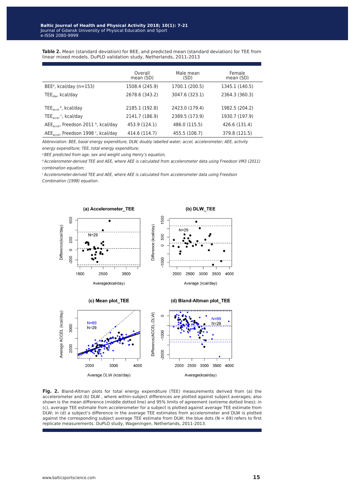**Table 2.** Mean (standard deviation) for BEE, and predicted mean (standard deviation) for TEE from linear mixed models. DuPLO validation study, Netherlands, 2011-2013

|                                                              | Overall<br>mean (SD) | Male mean<br>(SD) | Female<br>mean (SD) |
|--------------------------------------------------------------|----------------------|-------------------|---------------------|
| $BEE^a$ , kcal/day (n=153)                                   | 1508.4 (245.9)       | 1700.1 (200.5)    | 1345.1 (140.5)      |
| TEE <sub>dlw</sub> , kcal/day                                | 2678.6 (343.2)       | 3047.6 (323.1)    | 2364.3 (360.3)      |
| $\text{TEE}_{\text{accel}}$ <sup>b</sup> , kcal/day          | 2185.1 (192.8)       | 2423.0 (179.4)    | 1982.5 (204.2)      |
| $\mathsf{TEE}_{\mathsf{accel}}$ $\mathsf{c}_r$ , kcal/day    | 2141.7 (186.9)       | 2389.5 (173.9)    | 1930.7 (197.9)      |
| AEE <sub>accel</sub> , Freedson 2011 <sup>b</sup> , kcal/day | 453.9 (124.1)        | 486.0 (115.5)     | 426.6 (131.4)       |
| AEE <sub>accel</sub> , Freedson 1998 <sup>c</sup> , kcal/day | 414.6 (114.7)        | 455.5 (106.7)     | 379.8 (121.5)       |

*Abbreviation: BEE, basal energy expenditure, DLW, doubly labelled water; accel, accelerometer; AEE, activity energy expenditure; TEE, total energy expenditure;*

*a BEE predicted from age, sex and weight using Henry's equation,* 

*b Accelerometer-derived TEE and AEE, where AEE is calculated from accelerometer data using Freedson VM3 (2011) combination equation;*

*c Accelerometer-derived TEE and AEE, where AEE is calculated from accelerometer data using Freedson Combination (1998) equation.*



**Fig. 2.** Bland-Altman plots for total energy expenditure (TEE) measurements derived from (a) the accelerometer and (b) DLW , where within-subject differences are plotted against subject averages; also shown is the mean difference (middle dotted line) and 95% limits of agreement (extreme dotted lines); in (c), average TEE estimate from accelerometer for a subject is plotted against average TEE estimate from DLW; in (d) a subject's difference in the average TEE estimates from accelerometer and DLW is plotted against the corresponding subject average TEE estimate from DLW; the blue dots ( $N = 69$ ) refers to first replicate measurements. DuPLO study, Wageningen, Netherlands, 2011-2013.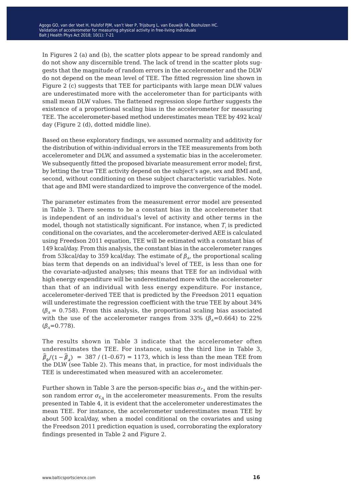In Figures 2 (a) and (b), the scatter plots appear to be spread randomly and do not show any discernible trend. The lack of trend in the scatter plots suggests that the magnitude of random errors in the accelerometer and the DLW do not depend on the mean level of TEE. The fitted regression line shown in Figure 2 (c) suggests that TEE for participants with large mean DLW values are underestimated more with the accelerometer than for participants with small mean DLW values. The flattened regression slope further suggests the existence of a proportional scaling bias in the accelerometer for measuring TEE. The accelerometer-based method underestimates mean TEE by 492 kcal/ day (Figure 2 (d), dotted middle line).

Based on these exploratory findings, we assumed normality and additivity for the distribution of within-individual errors in the TEE measurements from both accelerometer and DLW, and assumed a systematic bias in the accelerometer. We subsequently fitted the proposed bivariate measurement error model; first, by letting the true TEE activity depend on the subject's age, sex and BMI and, second, without conditioning on these subject characteristic variables. Note that age and BMI were standardized to improve the convergence of the model.

The parameter estimates from the measurement error model are presented in Table 3. There seems to be a constant bias in the accelerometer that is independent of an individual's level of activity and other terms in the model, though not statistically significant. For instance, when  $T_i$  is predicted conditional on the covariates, and the accelerometer-derived AEE is calculated using Freedson 2011 equation, TEE will be estimated with a constant bias of 149 kcal/day. From this analysis, the constant bias in the accelerometer ranges from 53kcal/day to 359 kcal/day. The estimate of  $\beta_A$ , the proportional scaling bias term that depends on an individual's level of TEE, is less than one for the covariate-adjusted analyses; this means that TEE for an individual with high energy expenditure will be underestimated more with the accelerometer than that of an individual with less energy expenditure. For instance, accelerometer-derived TEE that is predicted by the Freedson 2011 equation will underestimate the regression coefficient with the true TEE by about 34%  $(\beta_A = 0.758)$ . From this analysis, the proportional scaling bias associated with the use of the accelerometer ranges from 33% ( $\beta_A$ =0.664) to 22%  $(\beta_{A}=0.778)$ .

The results shown in Table 3 indicate that the accelerometer often underestimates the TEE. For instance, using the third line in Table 3,  $\widehat{\beta}_{0}/(1-\widehat{\beta}_{A})$  = 387 / (1-0.67) = 1173, which is less than the mean TEE from the DLW (see Table 2). This means that, in practice, for most individuals the TEE is underestimated when measured with an accelerometer.

Further shown in Table 3 are the person-specific bias  $\sigma_{r_A}$  and the within-person random error  $\sigma_{\varepsilon_A}$  in the accelerometer measurements. From the results presented in Table 4, it is evident that the accelerometer underestimates the mean TEE. For instance, the accelerometer underestimates mean TEE by about 500 kcal/day, when a model conditional on the covariates and using the Freedson 2011 prediction equation is used, corroborating the exploratory findings presented in Table 2 and Figure 2.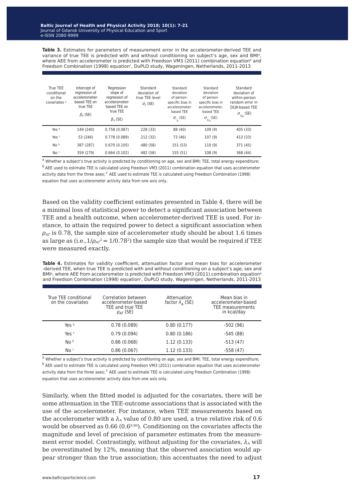**Table 3.** Estimates for parameters of measurement error in the accelerometer-derived TEE and variance of true TEE is predicted with and without conditioning on subject's age, sex and BMI<sup>a</sup>, where AEE from accelerometer is predicted with Freedson VM3 (2011) combination equation<sup>b</sup> and Freedson Combination (1998) equation $\epsilon$ , DuPLO study, Wageningen, Netherlands, 2011-2013

| True TEE<br>conditional<br>on the<br>covariates <sup>a</sup> | Intercept of<br>regression of<br>accelerometer-<br>based TEE on<br>true TEE<br>$\beta_0$ (SE) | Regression<br>slope of<br>regression of<br>accelerometer-<br>based TEE on<br>true TEE<br>$\beta$ <sub>4</sub> (SE) | Standard<br>deviation of<br>true TEE level<br>$\sigma_{\tau}$ (SE) | Standard<br>deviation<br>of person-<br>specific bias in<br>accelerometer-<br>based TEE<br>$\sigma_{r_{\scriptscriptstyle A}}$ (SE) | Standard<br>deviation<br>of person-<br>specific bias in<br>accelerometer-<br>based TEE<br>$\sigma_{\varepsilon_A}$ (SE) | Standard<br>deviation of<br>within-person<br>random error in<br>DLW-based TEE<br>$\sigma_{\varepsilon_R}$ (SE) |
|--------------------------------------------------------------|-----------------------------------------------------------------------------------------------|--------------------------------------------------------------------------------------------------------------------|--------------------------------------------------------------------|------------------------------------------------------------------------------------------------------------------------------------|-------------------------------------------------------------------------------------------------------------------------|----------------------------------------------------------------------------------------------------------------|
| Yes b                                                        | 149 (240)                                                                                     | 0.758(0.087)                                                                                                       | 228 (33)                                                           | 88 (40)                                                                                                                            | 109(9)                                                                                                                  | 405 (33)                                                                                                       |
| Yes <sup>c</sup>                                             | 53 (246)                                                                                      | 0.778(0.089)                                                                                                       | 212 (32)                                                           | 73 (46)                                                                                                                            | 107(9)                                                                                                                  | 412 (33)                                                                                                       |
| No <sup>b</sup>                                              | 387 (287)                                                                                     | 0.670(0.105)                                                                                                       | 480 (58)                                                           | 151 (53)                                                                                                                           | 110(9)                                                                                                                  | 371 (45)                                                                                                       |
| No <sub>c</sub>                                              | 359 (279)                                                                                     | 0.664(0.102)                                                                                                       | 482 (58)                                                           | 155 (51)                                                                                                                           | 108(9)                                                                                                                  | 368 (44)                                                                                                       |

a Whether a subject's true activity is predicted by conditioning on age, sex and BMI; TEE, total energy expenditure; b AEE used to estimate TEE is calculated using Freedson VM3 (2011) combination equation that uses accelerometer activity data from the three axes; <sup>c</sup> AEE used to estimate TEE is calculated using Freedson Combination (1998) equation that uses accelerometer activity data from one axis only.

Based on the validity coefficient estimates presented in Table 4, there will be a minimal loss of statistical power to detect a significant association between TEE and a health outcome, when accelerometer-derived TEE is used. For instance, to attain the required power to detect a significant association when *ρAT* is 0.78, the sample size of accelerometer study should be about 1.6 times as large as (i.e., $1/\rho_{AT}^2$  = 1/0.78<sup>2</sup>) the sample size that would be required if TEE were measured exactly.

**Table 4.** Estimates for validity coefficient, attenuation factor and mean bias for accelerometer -derived TEE, when true TEE is predicted with and without conditioning on a subject's age, sex and  $BMl<sup>a</sup>$ , where AEE from accelerometer is predicted with Freedson VM3 (2011) combination equation<sup>b</sup> and Freedson Combination (1998) equation<sup>c</sup>, DuPLO study, Wageningen, Netherlands, 2011-2013

| True TEE conditional<br>on the covariates | Correlation between<br>accelerometer-based<br>TEE and true TEE<br>$\rho_{AT}$ (SE) | Attenuation<br>factor $\lambda_{\Delta}$ (SE) | Mean bias in<br>accelerometer-based<br>TEE measurements<br>in kcal/day |
|-------------------------------------------|------------------------------------------------------------------------------------|-----------------------------------------------|------------------------------------------------------------------------|
| Yes b                                     | 0.78(0.089)                                                                        | 0.80(0.177)                                   | $-502(96)$                                                             |
| Yes <sup>c</sup>                          | 0.79(0.094)                                                                        | 0.80(0.186)                                   | $-545(88)$                                                             |
| No <sup>b</sup>                           | 0.86(0.068)                                                                        | 1.12(0.133)                                   | $-513(47)$                                                             |
| No c                                      | 0.86(0.067)                                                                        | 1.12(0.133)                                   | $-558(47)$                                                             |

<sup>a</sup> Whether a subject's true activity is predicted by conditioning on age, sex and BMI; TEE, total energy expenditure; <sup>b</sup> AEE used to estimate TEE is calculated using Freedson VM3 (2011) combination equation that uses accelerometer activity data from the three axes; <sup>c</sup> AEE used to estimate TEE is calculated using Freedson Combination (1998) equation that uses accelerometer activity data from one axis only.

Similarly, when the fitted model is adjusted for the covariates, there will be some attenuation in the TEE-outcome associations that is associated with the use of the accelerometer. For instance, when TEE measurements based on the accelerometer with a  $\lambda_A$  value of 0.80 are used, a true relative risk of 0.6 would be observed as  $0.66$  ( $0.6^{0.80}$ ). Conditioning on the covariates affects the magnitude and level of precision of parameter estimates from the measurement error model. Contrastingly, without adjusting for the covariates,  $\lambda_A$  will be overestimated by 12%, meaning that the observed association would appear stronger than the true association; this accentuates the need to adjust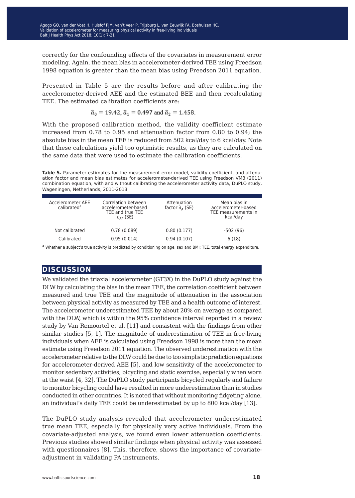correctly for the confounding effects of the covariates in measurement error modeling. Again, the mean bias in accelerometer-derived TEE using Freedson 1998 equation is greater than the mean bias using Freedson 2011 equation.

Presented in Table 5 are the results before and after calibrating the accelerometer-derived AEE and the estimated BEE and then recalculating TEE. The estimated calibration coefficients are:

$$
\hat{a}_0 = 19.42
$$
,  $\hat{a}_1 = 0.497$  and  $\hat{a}_2 = 1.458$ .

With the proposed calibration method, the validity coefficient estimate increased from 0.78 to 0.95 and attenuation factor from 0.80 to 0.94; the absolute bias in the mean TEE is reduced from 502 kcal/day to 6 kcal/day. Note that these calculations yield too optimistic results, as they are calculated on the same data that were used to estimate the calibration coefficients.

Table 5. Parameter estimates for the measurement error model, validity coefficient, and attenuation factor and mean bias estimates for accelerometer-derived TEE using Freedson VM3 (2011) combination equation, with and without calibrating the accelerometer activity data, DuPLO study, Wageningen, Netherlands, 2011-2013

| Accelerometer AFF<br>calibrated <sup>a</sup> | Correlation between<br>accelerometer-based<br>TEE and true TEE<br>$\rho_{AT}$ (SE) | Attenuation<br>factor $\lambda_A$ (SE) | Mean bias in<br>accelerometer-based<br>TEE measurements in<br>kcal/day |
|----------------------------------------------|------------------------------------------------------------------------------------|----------------------------------------|------------------------------------------------------------------------|
| Not calibrated                               | 0.78(0.089)                                                                        | 0.80(0.177)                            | $-502(96)$                                                             |
| Calibrated                                   | 0.95(0.014)                                                                        | 0.94(0.107)                            | 6(18)                                                                  |
|                                              |                                                                                    |                                        |                                                                        |

<sup>a</sup> Whether a subject's true activity is predicted by conditioning on age, sex and BMI; TEE, total energy expenditure.

#### **discussion**

We validated the triaxial accelerometer (GT3X) in the DuPLO study against the DLW by calculating the bias in the mean TEE, the correlation coefficient between measured and true TEE and the magnitude of attenuation in the association between physical activity as measured by TEE and a health outcome of interest. The accelerometer underestimated TEE by about 20% on average as compared with the DLW, which is within the 95% confidence interval reported in a review study by Van Remoortel et al. [11] and consistent with the findings from other similar studies [5, 1]. The magnitude of underestimation of TEE in free-living individuals when AEE is calculated using Freedson 1998 is more than the mean estimate using Freedson 2011 equation. The observed underestimation with the accelerometer relative to the DLW could be due to too simplistic prediction equations for accelerometer-derived AEE [5], and low sensitivity of the accelerometer to monitor sedentary activities, bicycling and static exercise, especially when worn at the waist [4, 32]. The DuPLO study participants bicycled regularly and failure to monitor bicycling could have resulted in more underestimation than in studies conducted in other countries. It is noted that without monitoring fidgeting alone, an individual's daily TEE could be underestimated by up to 800 kcal/day [13].

The DuPLO study analysis revealed that accelerometer underestimated true mean TEE, especially for physically very active individuals. From the covariate-adjusted analysis, we found even lower attenuation coefficients. Previous studies showed similar findings when physical activity was assessed with questionnaires [8]. This, therefore, shows the importance of covariateadjustment in validating PA instruments.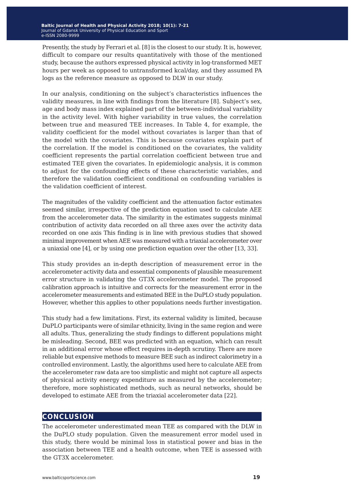Presently, the study by Ferrari et al. [8] is the closest to our study. It is, however, difficult to compare our results quantitatively with those of the mentioned study, because the authors expressed physical activity in log-transformed MET hours per week as opposed to untransformed kcal/day, and they assumed PA logs as the reference measure as opposed to DLW in our study.

In our analysis, conditioning on the subject's characteristics influences the validity measures, in line with findings from the literature [8]. Subject's sex, age and body mass index explained part of the between-individual variability in the activity level. With higher variability in true values, the correlation between true and measured TEE increases. In Table 4, for example, the validity coefficient for the model without covariates is larger than that of the model with the covariates. This is because covariates explain part of the correlation. If the model is conditioned on the covariates, the validity coefficient represents the partial correlation coefficient between true and estimated TEE given the covariates. In epidemiologic analysis, it is common to adjust for the confounding effects of these characteristic variables, and therefore the validation coefficient conditional on confounding variables is the validation coefficient of interest.

The magnitudes of the validity coefficient and the attenuation factor estimates seemed similar, irrespective of the prediction equation used to calculate AEE from the accelerometer data. The similarity in the estimates suggests minimal contribution of activity data recorded on all three axes over the activity data recorded on one axis This finding is in line with previous studies that showed minimal improvement when AEE was measured with a triaxial accelerometer over a uniaxial one [4], or by using one prediction equation over the other [13, 33].

This study provides an in-depth description of measurement error in the accelerometer activity data and essential components of plausible measurement error structure in validating the GT3X accelerometer model. The proposed calibration approach is intuitive and corrects for the measurement error in the accelerometer measurements and estimated BEE in the DuPLO study population. However, whether this applies to other populations needs further investigation.

This study had a few limitations. First, its external validity is limited, because DuPLO participants were of similar ethnicity, living in the same region and were all adults. Thus, generalizing the study findings to different populations might be misleading. Second, BEE was predicted with an equation, which can result in an additional error whose effect requires in-depth scrutiny. There are more reliable but expensive methods to measure BEE such as indirect calorimetry in a controlled environment. Lastly, the algorithms used here to calculate AEE from the accelerometer raw data are too simplistic and might not capture all aspects of physical activity energy expenditure as measured by the accelerometer; therefore, more sophisticated methods, such as neural networks, should be developed to estimate AEE from the triaxial accelerometer data [22].

#### **conclusion**

The accelerometer underestimated mean TEE as compared with the DLW in the DuPLO study population. Given the measurement error model used in this study, there would be minimal loss in statistical power and bias in the association between TEE and a health outcome, when TEE is assessed with the GT3X accelerometer.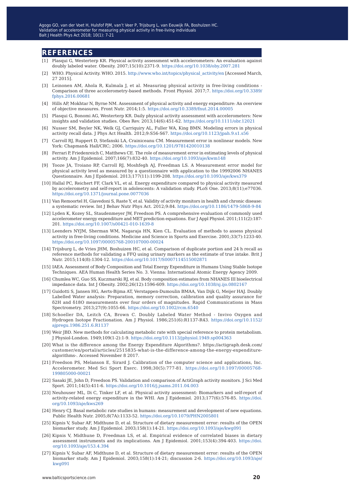#### **references**

- [1] Plasqui G, Westerterp KR. Physical activity assessment with accelerometers: An evaluation against doubly labeled water. Obesity. 2007;15(10):2371-9.<https://doi.org/10.1038/oby.2007.281>
- [2] WHO. Physical Activity. WHO. 2015. [http://www.who.int/topics/physical\\_activity/en](http://www.who.int/topics/physical_activity/en/) [Accessed March, 27 2015].
- [3] Leinonen AM, Ahola R, Kulmala J, et al. Measuring physical activity in free-living conditions Comparison of three accelerometry-based methods. Front Physiol. 2017;7. [https://doi.org/10.3389/](https://doi.org/10.3389/fphys.2016.00681) [fphys.2016.00681](https://doi.org/10.3389/fphys.2016.00681)
- [4] Hills AP, Mokhtar N, Byrne NM. Assessment of physical activity and energy expenditure: An overview of objective measures. Front Nutr. 2014;1:5. <https://doi.org/10.3389/fnut.2014.00005>
- [5] Plasqui G, Bonomi AG, Westerterp KR. Daily physical activity assessment with accelerometers: New insights and validation studies. Obes Rev. 2013;14(6):451-62. <https://doi.org/10.1111/obr.12021>
- [6] Nusser SM, Beyler NK, Welk GJ, Carriquiry AL, Fuller WA, King BMN. Modeling errors in physical activity recall data. J Phys Act Health. 2012;9:S56-S67. <https://doi.org/10.1123/jpah.9.s1.s56>
- [7] Carroll RJ, Ruppert D, Stefanski LA, Crainiceanu CM. Measurement error in nonlinear models. New York: Chapman& Hall/CRC; 2006.<https://doi.org/10.1201/9781420010138>
- [8] Ferrari P, Friedenreich C, Matthews CE. The role of measurement error in estimating levels of physical activity. Am J Epidemiol. 2007;166(7):832-40.<https://doi.org/10.1093/aje/kwm148>
- [9] Tooze JA, Troiano RP, Carroll RJ, Moshfegh AJ, Freedman LS. A Measurement error model for physical activity level as measured by a questionnaire with application to the 19992006 NHANES Questionnaire. Am J Epidemiol. 2013;177(11):1199-208. <https://doi.org/10.1093/aje/kws379>
- [10] Hallal PC, Reichert FF, Clark VL, et al. Energy expenditure compared to physical activity measured by accelerometry and self-report in adolescents: A validation study. PLoS One. 2013;8(11);e77036. <https://doi.org/10.1371/journal.pone.0077036>
- [11] Van Remoortel H, Giavedoni S, Raste Y, et al. Validity of activity monitors in health and chronic disease: a systematic review. Int J Behav Nutr Phys Act. 2012;9:84. <https://doi.org/10.1186/1479-5868-9-84>
- [12] Lyden K, Kozey SL, Staudenmeyer JW, Freedson PS. A comprehensive evaluation of commonly used accelerometer energy expenditure and MET prediction equations. Eur J Appl Physiol. 2011;111(2):187- 201. <https://doi.org/10.1007/s00421-010-1639-8>
- [13] Leenders NYJM, Sherman WM, Nagaraja HN, Kien CL. Evaluation of methods to assess physical activity in free-living conditions. Medicine and Science in Sports and Exercise. 2001;33(7):1233-40. <https://doi.org/10.1097/00005768-200107000-00024>
- [14] Trijsburg L, de Vries JHM, Boshuizen HC, et al. Comparison of duplicate portion and 24 h recall as reference methods for validating a FFQ using urinary markers as the estimate of true intake. Brit J Nutr. 2015;114(8):1304-12.<https://doi.org/10.1017/S0007114515002871>
- [15] IAEA. Assessment of Body Composition and Total Energy Expenditure in Humans Using Stable Isotope Techniques. AEA Human Health Series No. 3. Vienna: International Atomic Energy Agency 2009.
- [16] Chumlea WC, Guo SS, Kuczmarski RJ, et al. Body composition estimates from NHANES III bioelectrical impedance data. Int J Obesity. 2002;26(12):1596-609.<https://doi.org/10.1038/sj.ijo.0802167>
- [17] Guidotti S, Jansen HG, Aerts-Bijma AT, Verstappen-Dumoulin BMAA, Van Dijk G, Meijer HAJ. Doubly Labelled Water analysis: Preparation, memory correction, calibration and quality assurance for δ2H and δ18O measurements over four orders of magnitudes. Rapid Communications in Mass Spectrometry. 2013;27(9):1055-66. <https://doi.org/10.1002/rcm.6540>
- [18] Schoeller DA, Leitch CA, Brown C. Doubly Labeled Water Method Invivo Oxygen and Hydrogen Isotope Fractionation. Am J Physiol. 1986;251(6):R1137-R43. [https://doi.org/10.1152/](https://doi.org/10.1152/ajpregu.1986.251.6.R1137) [ajpregu.1986.251.6.R1137](https://doi.org/10.1152/ajpregu.1986.251.6.R1137)
- [19] Weir JBD. New methods for calculating metabolic rate with special reference to protein metabolism. J Physiol-London. 1949;109(1-2):1-9. <https://doi.org/10.1113/jphysiol.1949.sp004363>
- [20] What is the difference among the Energy Expenditure Algorithms?. https://actigraph.desk.com/ customer/en/portal/articles/2515835-what-is-the-difference-among-the-energy-expenditurealgorithms-. Accessed November 8 2017.
- [21] Freedson PS, Melanson E, Sirard J. Calibration of the computer science and applications, Inc. Accelerometer. Med Sci Sport Exerc. 1998;30(5):777-81. [https://doi.org/10.1097/00005768-](https://doi.org/10.1097/00005768-199805000-00021) [199805000-00021](https://doi.org/10.1097/00005768-199805000-00021)
- [22] Sasaki JE, John D, Freedson PS. Validation and comparison of ActiGraph activity monitors. J Sci Med Sport. 2011;14(5):411-6. <https://doi.org/10.1016/j.jsams.2011.04.003>
- [23] Neuhouser ML, Di C, Tinker LF, et al. Physical activity assessment: Biomarkers and self-report of activity-related energy expenditure in the WHI. Am J Epidemiol. 2013;177(6):576-85. [https://doi.](https://doi.org/10.1093/aje/kws269) [org/10.1093/aje/kws269](https://doi.org/10.1093/aje/kws269)
- [24] Henry CJ. Basal metabolic rate studies in humans: measurement and development of new equations. Public Health Nutr. 2005;8(7A):1133-52.<https://doi.org/10.1079/PHN2005801>
- [25] Kipnis V, Subar AF, Midthune D, et al. Structure of dietary measurement error: results of the OPEN biomarker study. Am J Epidemiol. 2003;158(1):14-21.<https://doi.org/10.1093/aje/kwg091>
- [26] Kipnis V, Midthune D, Freedman LS, et al. Empirical evidence of correlated biases in dietary assessment instruments and its implications. Am J Epidemiol. 2001;153(4):394-403. https://doi. org/10.1093/aje/153.4.394
- [27] Kipnis V, Subar AF, Midthune D, et al. Structure of dietary measurement error: results of the OPEN biomarker study. Am J Epidemiol. 2003;158(1):14-21; discussion 2-6. https://doi.org/10.1093/aje/ kwg091